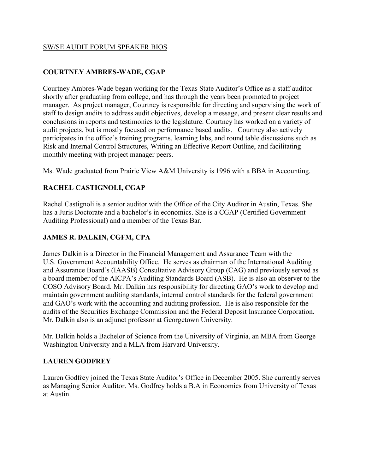#### SW/SE AUDIT FORUM SPEAKER BIOS

### **COURTNEY AMBRES-WADE, CGAP**

Courtney Ambres-Wade began working for the Texas State Auditor's Office as a staff auditor shortly after graduating from college, and has through the years been promoted to project manager. As project manager, Courtney is responsible for directing and supervising the work of staff to design audits to address audit objectives, develop a message, and present clear results and conclusions in reports and testimonies to the legislature. Courtney has worked on a variety of audit projects, but is mostly focused on performance based audits. Courtney also actively participates in the office's training programs, learning labs, and round table discussions such as Risk and Internal Control Structures, Writing an Effective Report Outline, and facilitating monthly meeting with project manager peers.

Ms. Wade graduated from Prairie View A&M University is 1996 with a BBA in Accounting.

### **RACHEL CASTIGNOLI, CGAP**

Rachel Castignoli is a senior auditor with the Office of the City Auditor in Austin, Texas. She has a Juris Doctorate and a bachelor's in economics. She is a CGAP (Certified Government Auditing Professional) and a member of the Texas Bar.

#### **JAMES R. DALKIN, CGFM, CPA**

James Dalkin is a Director in the Financial Management and Assurance Team with the U.S. Government Accountability Office. He serves as chairman of the International Auditing and Assurance Board's (IAASB) Consultative Advisory Group (CAG) and previously served as a board member of the AICPA's Auditing Standards Board (ASB). He is also an observer to the COSO Advisory Board. Mr. Dalkin has responsibility for directing GAO's work to develop and maintain government auditing standards, internal control standards for the federal government and GAO's work with the accounting and auditing profession. He is also responsible for the audits of the Securities Exchange Commission and the Federal Deposit Insurance Corporation. Mr. Dalkin also is an adjunct professor at Georgetown University.

Mr. Dalkin holds a Bachelor of Science from the University of Virginia, an MBA from George Washington University and a MLA from Harvard University.

#### **LAUREN GODFREY**

Lauren Godfrey joined the Texas State Auditor's Office in December 2005. She currently serves as Managing Senior Auditor. Ms. Godfrey holds a B.A in Economics from University of Texas at Austin.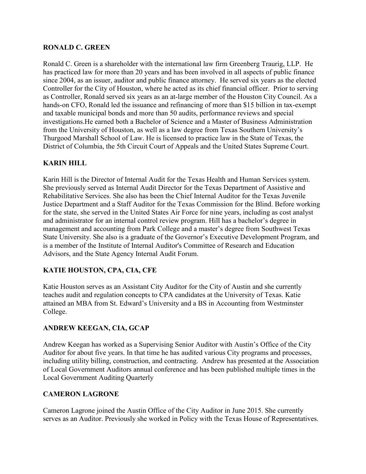#### **RONALD C. GREEN**

Ronald C. Green is a shareholder with the international law firm Greenberg Traurig, LLP. He has practiced law for more than 20 years and has been involved in all aspects of public finance since 2004, as an issuer, auditor and public finance attorney. He served six years as the elected Controller for the City of Houston, where he acted as its chief financial officer. Prior to serving as Controller, Ronald served six years as an at-large member of the Houston City Council. As a hands-on CFO, Ronald led the issuance and refinancing of more than \$15 billion in tax-exempt and taxable municipal bonds and more than 50 audits, performance reviews and special investigations.He earned both a Bachelor of Science and a Master of Business Administration from the University of Houston, as well as a law degree from Texas Southern University's Thurgood Marshall School of Law. He is licensed to practice law in the State of Texas, the District of Columbia, the 5th Circuit Court of Appeals and the United States Supreme Court.

### **KARIN HILL**

Karin Hill is the Director of Internal Audit for the Texas Health and Human Services system. She previously served as Internal Audit Director for the Texas Department of Assistive and Rehabilitative Services. She also has been the Chief Internal Auditor for the Texas Juvenile Justice Department and a Staff Auditor for the Texas Commission for the Blind. Before working for the state, she served in the United States Air Force for nine years, including as cost analyst and administrator for an internal control review program. Hill has a bachelor's degree in management and accounting from Park College and a master's degree from Southwest Texas State University. She also is a graduate of the Governor's Executive Development Program, and is a member of the Institute of Internal Auditor's Committee of Research and Education Advisors, and the State Agency Internal Audit Forum.

#### **KATIE HOUSTON, CPA, CIA, CFE**

Katie Houston serves as an Assistant City Auditor for the City of Austin and she currently teaches audit and regulation concepts to CPA candidates at the University of Texas. Katie attained an MBA from St. Edward's University and a BS in Accounting from Westminster College.

#### **ANDREW KEEGAN, CIA, GCAP**

Andrew Keegan has worked as a Supervising Senior Auditor with Austin's Office of the City Auditor for about five years. In that time he has audited various City programs and processes, including utility billing, construction, and contracting. Andrew has presented at the Association of Local Government Auditors annual conference and has been published multiple times in the Local Government Auditing Quarterly

#### **CAMERON LAGRONE**

Cameron Lagrone joined the Austin Office of the City Auditor in June 2015. She currently serves as an Auditor. Previously she worked in Policy with the Texas House of Representatives.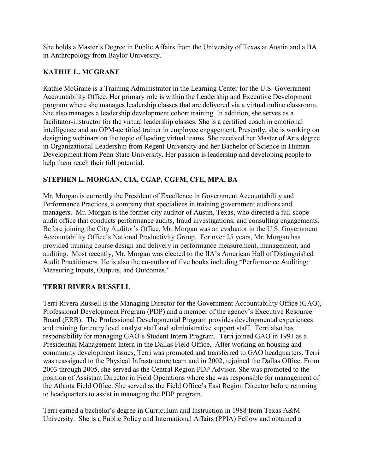She holds a Master's Degree in Public Affairs from the University of Texas at Austin and a BA in Anthropology from Baylor University.

## **KATHIE L. MCGRANE**

Kathie McGrane is a Training Administrator in the Learning Center for the U.S. Government Accountability Office. Her primary role is within the Leadership and Executive Development program where she manages leadership classes that are delivered via a virtual online classroom. She also manages a leadership development cohort training. In addition, she serves as a facilitator-instructor for the virtual leadership classes. She is a certified coach in emotional intelligence and an OPM-certified trainer in employee engagement. Presently, she is working on designing webinars on the topic of leading virtual teams. She received her Master of Arts degree in Organizational Leadership from Regent University and her Bachelor of Science in Human Development from Penn State University. Her passion is leadership and developing people to help them reach their full potential.

# **STEPHEN L. MORGAN, CIA, CGAP, CGFM, CFE, MPA, BA**

Mr. Morgan is currently the President of Excellence in Government Accountability and Performance Practices, a company that specializes in training government auditors and managers. Mr. Morgan is the former city auditor of Austin, Texas, who directed a full scope audit office that conducts performance audits, fraud investigations, and consulting engagements. Before joining the City Auditor's Office, Mr. Morgan was an evaluator in the U.S. Government Accountability Office's National Productivity Group. For over 25 years, Mr. Morgan has provided training course design and delivery in performance measurement, management, and auditing. Most recently, Mr. Morgan was elected to the IIA's American Hall of Distinguished Audit Practitioners. He is also the co-author of five books including "Performance Auditing: Measuring Inputs, Outputs, and Outcomes."

## **TERRI RIVERA RUSSELL**

Terri Rivera Russell is the Managing Director for the Government Accountability Office (GAO), Professional Development Program (PDP) and a member of the agency's Executive Resource Board (ERB). The Professional Developmental Program provides developmental experiences and training for entry level analyst staff and administrative support staff. Terri also has responsibility for managing GAO's Student Intern Program. Terri joined GAO in 1991 as a Presidential Management Intern in the Dallas Field Office. After working on housing and community development issues, Terri was promoted and transferred to GAO headquarters. Terri was reassigned to the Physical Infrastructure team and in 2002, rejoined the Dallas Office. From 2003 through 2005, she served as the Central Region PDP Advisor. She was promoted to the position of Assistant Director in Field Operations where she was responsible for management of the Atlanta Field Office. She served as the Field Office's East Region Director before returning to headquarters to assist in managing the PDP program.

Terri earned a bachelor's degree in Curriculum and Instruction in 1988 from Texas A&M University. She is a Public Policy and International Affairs (PPIA) Fellow and obtained a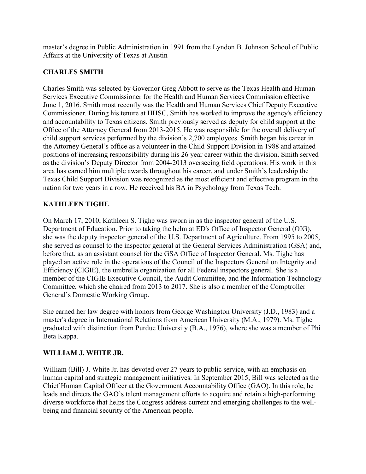master's degree in Public Administration in 1991 from the Lyndon B. Johnson School of Public Affairs at the University of Texas at Austin

## **CHARLES SMITH**

Charles Smith was selected by Governor Greg Abbott to serve as the Texas Health and Human Services Executive Commissioner for the Health and Human Services Commission effective June 1, 2016. Smith most recently was the Health and Human Services Chief Deputy Executive Commissioner. During his tenure at HHSC, Smith has worked to improve the agency's efficiency and accountability to Texas citizens. Smith previously served as deputy for child support at the Office of the Attorney General from 2013-2015. He was responsible for the overall delivery of child support services performed by the division's 2,700 employees. Smith began his career in the Attorney General's office as a volunteer in the Child Support Division in 1988 and attained positions of increasing responsibility during his 26 year career within the division. Smith served as the division's Deputy Director from 2004-2013 overseeing field operations. His work in this area has earned him multiple awards throughout his career, and under Smith's leadership the Texas Child Support Division was recognized as the most efficient and effective program in the nation for two years in a row. He received his BA in Psychology from Texas Tech.

## **KATHLEEN TIGHE**

On March 17, 2010, Kathleen S. Tighe was sworn in as the inspector general of the U.S. Department of Education. Prior to taking the helm at ED's Office of Inspector General (OIG), she was the deputy inspector general of the U.S. Department of Agriculture. From 1995 to 2005, she served as counsel to the inspector general at the General Services Administration (GSA) and, before that, as an assistant counsel for the GSA Office of Inspector General. Ms. Tighe has played an active role in the operations of the Council of the Inspectors General on Integrity and Efficiency (CIGIE), the umbrella organization for all Federal inspectors general. She is a member of the CIGIE Executive Council, the Audit Committee, and the Information Technology Committee, which she chaired from 2013 to 2017. She is also a member of the Comptroller General's Domestic Working Group.

She earned her law degree with honors from George Washington University (J.D., 1983) and a master's degree in International Relations from American University (M.A., 1979). Ms. Tighe graduated with distinction from Purdue University (B.A., 1976), where she was a member of Phi Beta Kappa.

## **WILLIAM J. WHITE JR.**

William (Bill) J. White Jr. has devoted over 27 years to public service, with an emphasis on human capital and strategic management initiatives. In September 2015, Bill was selected as the Chief Human Capital Officer at the Government Accountability Office (GAO). In this role, he leads and directs the GAO's talent management efforts to acquire and retain a high-performing diverse workforce that helps the Congress address current and emerging challenges to the wellbeing and financial security of the American people.